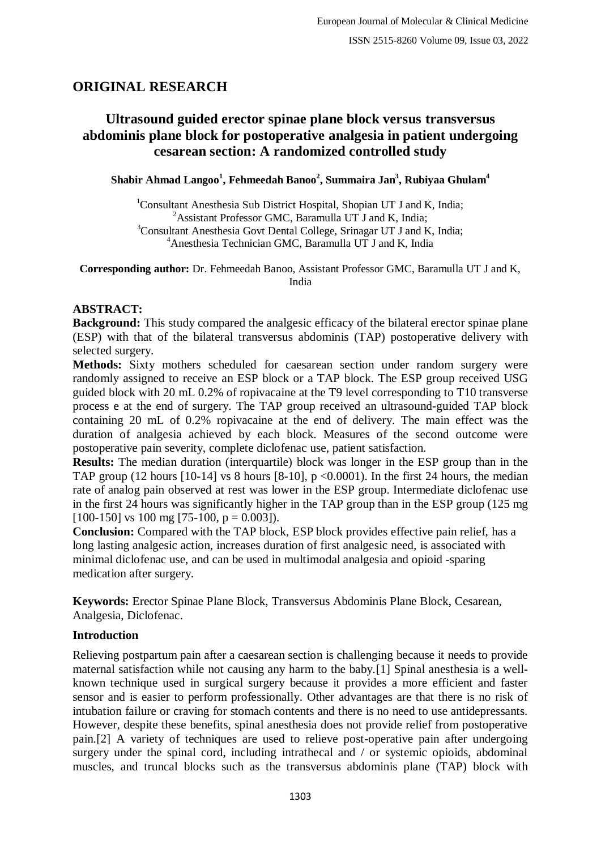# **ORIGINAL RESEARCH**

# **Ultrasound guided erector spinae plane block versus transversus abdominis plane block for postoperative analgesia in patient undergoing cesarean section: A randomized controlled study**

**Shabir Ahmad Langoo<sup>1</sup> , Fehmeedah Banoo<sup>2</sup> , Summaira Jan<sup>3</sup> , Rubiyaa Ghulam<sup>4</sup>**

<sup>1</sup>Consultant Anesthesia Sub District Hospital, Shopian UT J and K, India; <sup>2</sup>Assistant Professor GMC, Baramulla UT  $J$  and K, India; <sup>3</sup>Consultant Anesthesia Govt Dental College, Srinagar UT J and K, India; <sup>4</sup>Anesthesia Technician GMC, Baramulla UT J and K, India

**Corresponding author:** Dr. Fehmeedah Banoo, Assistant Professor GMC, Baramulla UT J and K, India

# **ABSTRACT:**

**Background:** This study compared the analgesic efficacy of the bilateral erector spinae plane (ESP) with that of the bilateral transversus abdominis (TAP) postoperative delivery with selected surgery.

**Methods:** Sixty mothers scheduled for caesarean section under random surgery were randomly assigned to receive an ESP block or a TAP block. The ESP group received USG guided block with 20 mL 0.2% of ropivacaine at the T9 level corresponding to T10 transverse process e at the end of surgery. The TAP group received an ultrasound-guided TAP block containing 20 mL of 0.2% ropivacaine at the end of delivery. The main effect was the duration of analgesia achieved by each block. Measures of the second outcome were postoperative pain severity, complete diclofenac use, patient satisfaction.

**Results:** The median duration (interquartile) block was longer in the ESP group than in the TAP group (12 hours [10-14] vs 8 hours [8-10],  $p \le 0.0001$ ). In the first 24 hours, the median rate of analog pain observed at rest was lower in the ESP group. Intermediate diclofenac use in the first 24 hours was significantly higher in the TAP group than in the ESP group (125 mg  $[100-150]$  vs 100 mg  $[75-100, p = 0.003]$ .

**Conclusion:** Compared with the TAP block, ESP block provides effective pain relief, has a long lasting analgesic action, increases duration of first analgesic need, is associated with minimal diclofenac use, and can be used in multimodal analgesia and opioid -sparing medication after surgery.

**Keywords:** Erector Spinae Plane Block, Transversus Abdominis Plane Block, Cesarean, Analgesia, Diclofenac.

# **Introduction**

Relieving postpartum pain after a caesarean section is challenging because it needs to provide maternal satisfaction while not causing any harm to the baby.[1] Spinal anesthesia is a wellknown technique used in surgical surgery because it provides a more efficient and faster sensor and is easier to perform professionally. Other advantages are that there is no risk of intubation failure or craving for stomach contents and there is no need to use antidepressants. However, despite these benefits, spinal anesthesia does not provide relief from postoperative pain.[2] A variety of techniques are used to relieve post-operative pain after undergoing surgery under the spinal cord, including intrathecal and / or systemic opioids, abdominal muscles, and truncal blocks such as the transversus abdominis plane (TAP) block with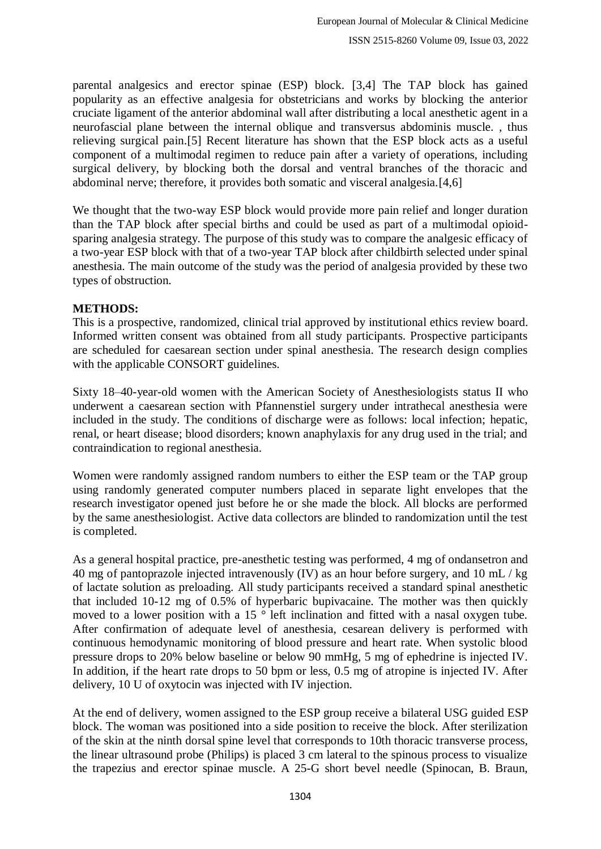parental analgesics and erector spinae (ESP) block. [3,4] The TAP block has gained popularity as an effective analgesia for obstetricians and works by blocking the anterior cruciate ligament of the anterior abdominal wall after distributing a local anesthetic agent in a neurofascial plane between the internal oblique and transversus abdominis muscle. , thus relieving surgical pain.[5] Recent literature has shown that the ESP block acts as a useful component of a multimodal regimen to reduce pain after a variety of operations, including surgical delivery, by blocking both the dorsal and ventral branches of the thoracic and abdominal nerve; therefore, it provides both somatic and visceral analgesia.[4,6]

We thought that the two-way ESP block would provide more pain relief and longer duration than the TAP block after special births and could be used as part of a multimodal opioidsparing analgesia strategy. The purpose of this study was to compare the analgesic efficacy of a two-year ESP block with that of a two-year TAP block after childbirth selected under spinal anesthesia. The main outcome of the study was the period of analgesia provided by these two types of obstruction.

#### **METHODS:**

This is a prospective, randomized, clinical trial approved by institutional ethics review board. Informed written consent was obtained from all study participants. Prospective participants are scheduled for caesarean section under spinal anesthesia. The research design complies with the applicable CONSORT guidelines.

Sixty 18–40-year-old women with the American Society of Anesthesiologists status ІІ who underwent a caesarean section with Pfannenstiel surgery under intrathecal anesthesia were included in the study. The conditions of discharge were as follows: local infection; hepatic, renal, or heart disease; blood disorders; known anaphylaxis for any drug used in the trial; and contraindication to regional anesthesia.

Women were randomly assigned random numbers to either the ESP team or the TAP group using randomly generated computer numbers placed in separate light envelopes that the research investigator opened just before he or she made the block. All blocks are performed by the same anesthesiologist. Active data collectors are blinded to randomization until the test is completed.

As a general hospital practice, pre-anesthetic testing was performed, 4 mg of ondansetron and 40 mg of pantoprazole injected intravenously (IV) as an hour before surgery, and 10 mL / kg of lactate solution as preloading. All study participants received a standard spinal anesthetic that included 10-12 mg of 0.5% of hyperbaric bupivacaine. The mother was then quickly moved to a lower position with a 15 ° left inclination and fitted with a nasal oxygen tube. After confirmation of adequate level of anesthesia, cesarean delivery is performed with continuous hemodynamic monitoring of blood pressure and heart rate. When systolic blood pressure drops to 20% below baseline or below 90 mmHg, 5 mg of ephedrine is injected IV. In addition, if the heart rate drops to 50 bpm or less, 0.5 mg of atropine is injected IV. After delivery, 10 U of oxytocin was injected with IV injection.

At the end of delivery, women assigned to the ESP group receive a bilateral USG guided ESP block. The woman was positioned into a side position to receive the block. After sterilization of the skin at the ninth dorsal spine level that corresponds to 10th thoracic transverse process, the linear ultrasound probe (Philips) is placed 3 cm lateral to the spinous process to visualize the trapezius and erector spinae muscle. A 25-G short bevel needle (Spinocan, B. Braun,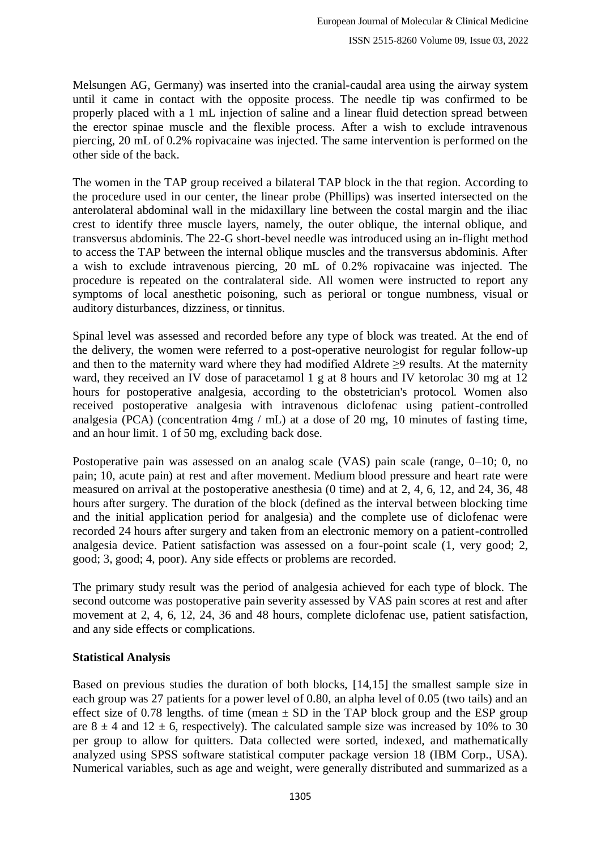Melsungen AG, Germany) was inserted into the cranial-caudal area using the airway system until it came in contact with the opposite process. The needle tip was confirmed to be properly placed with a 1 mL injection of saline and a linear fluid detection spread between the erector spinae muscle and the flexible process. After a wish to exclude intravenous piercing, 20 mL of 0.2% ropivacaine was injected. The same intervention is performed on the other side of the back.

The women in the TAP group received a bilateral TAP block in the that region. According to the procedure used in our center, the linear probe (Phillips) was inserted intersected on the anterolateral abdominal wall in the midaxillary line between the costal margin and the iliac crest to identify three muscle layers, namely, the outer oblique, the internal oblique, and transversus abdominis. The 22-G short-bevel needle was introduced using an in-flight method to access the TAP between the internal oblique muscles and the transversus abdominis. After a wish to exclude intravenous piercing, 20 mL of 0.2% ropivacaine was injected. The procedure is repeated on the contralateral side. All women were instructed to report any symptoms of local anesthetic poisoning, such as perioral or tongue numbness, visual or auditory disturbances, dizziness, or tinnitus.

Spinal level was assessed and recorded before any type of block was treated. At the end of the delivery, the women were referred to a post-operative neurologist for regular follow-up and then to the maternity ward where they had modified Aldrete  $\geq$ 9 results. At the maternity ward, they received an IV dose of paracetamol 1 g at 8 hours and IV ketorolac 30 mg at 12 hours for postoperative analgesia, according to the obstetrician's protocol. Women also received postoperative analgesia with intravenous diclofenac using patient-controlled analgesia (PCA) (concentration 4mg / mL) at a dose of 20 mg, 10 minutes of fasting time, and an hour limit. 1 of 50 mg, excluding back dose.

Postoperative pain was assessed on an analog scale (VAS) pain scale (range, 0–10; 0, no pain; 10, acute pain) at rest and after movement. Medium blood pressure and heart rate were measured on arrival at the postoperative anesthesia (0 time) and at 2, 4, 6, 12, and 24, 36, 48 hours after surgery. The duration of the block (defined as the interval between blocking time and the initial application period for analgesia) and the complete use of diclofenac were recorded 24 hours after surgery and taken from an electronic memory on a patient-controlled analgesia device. Patient satisfaction was assessed on a four-point scale (1, very good; 2, good; 3, good; 4, poor). Any side effects or problems are recorded.

The primary study result was the period of analgesia achieved for each type of block. The second outcome was postoperative pain severity assessed by VAS pain scores at rest and after movement at 2, 4, 6, 12, 24, 36 and 48 hours, complete diclofenac use, patient satisfaction, and any side effects or complications.

## **Statistical Analysis**

Based on previous studies the duration of both blocks, [14,15] the smallest sample size in each group was 27 patients for a power level of 0.80, an alpha level of 0.05 (two tails) and an effect size of 0.78 lengths, of time (mean  $\pm$  SD in the TAP block group and the ESP group are  $8 \pm 4$  and  $12 \pm 6$ , respectively). The calculated sample size was increased by 10% to 30 per group to allow for quitters. Data collected were sorted, indexed, and mathematically analyzed using SPSS software statistical computer package version 18 (IBM Corp., USA). Numerical variables, such as age and weight, were generally distributed and summarized as a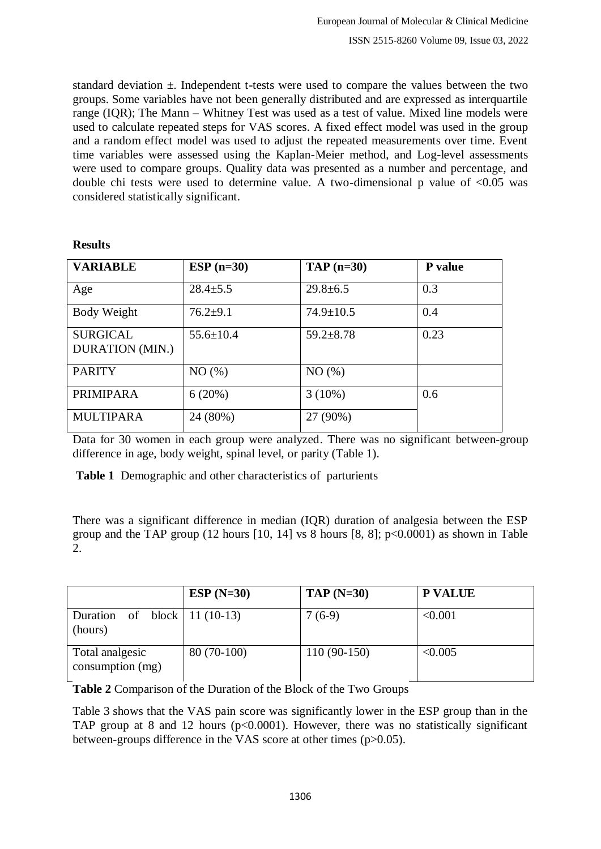standard deviation  $\pm$ . Independent t-tests were used to compare the values between the two groups. Some variables have not been generally distributed and are expressed as interquartile range (IQR); The Mann – Whitney Test was used as a test of value. Mixed line models were used to calculate repeated steps for VAS scores. A fixed effect model was used in the group and a random effect model was used to adjust the repeated measurements over time. Event time variables were assessed using the Kaplan-Meier method, and Log-level assessments were used to compare groups. Quality data was presented as a number and percentage, and double chi tests were used to determine value. A two-dimensional p value of  $\langle 0.05 \rangle$  was considered statistically significant.

#### **Results**

| <b>VARIABLE</b>                           | $ESP(n=30)$     | $TAP$ (n=30)    | P value |
|-------------------------------------------|-----------------|-----------------|---------|
| Age                                       | $28.4 \pm 5.5$  | $29.8 \pm 6.5$  | 0.3     |
| Body Weight                               | $76.2+9.1$      | $74.9 \pm 10.5$ | 0.4     |
| <b>SURGICAL</b><br><b>DURATION (MIN.)</b> | $55.6 \pm 10.4$ | $59.2 \pm 8.78$ | 0.23    |
| <b>PARITY</b>                             | NO(%)           | NO(%)           |         |
| <b>PRIMIPARA</b>                          | 6(20%)          | $3(10\%)$       | 0.6     |
| <b>MULTIPARA</b>                          | 24 (80%)        | 27 (90%)        |         |

Data for 30 women in each group were analyzed. There was no significant between-group difference in age, body weight, spinal level, or parity (Table 1).

**Table 1** Demographic and other characteristics of parturients

There was a significant difference in median (IQR) duration of analgesia between the ESP group and the TAP group (12 hours [10, 14] vs 8 hours [8, 8];  $p<0.0001$ ) as shown in Table 2.

|                                              | $ESP(N=30)$  | $TAP(N=30)$   | <b>P VALUE</b> |
|----------------------------------------------|--------------|---------------|----------------|
| of block   11 (10-13)<br>Duration<br>(hours) |              | $7(6-9)$      | < 0.001        |
| Total analgesic<br>consumption (mg)          | $80(70-100)$ | $110(90-150)$ | < 0.005        |

**Table 2** Comparison of the Duration of the Block of the Two Groups

Table 3 shows that the VAS pain score was significantly lower in the ESP group than in the TAP group at 8 and 12 hours ( $p<0.0001$ ). However, there was no statistically significant between-groups difference in the VAS score at other times (p>0.05).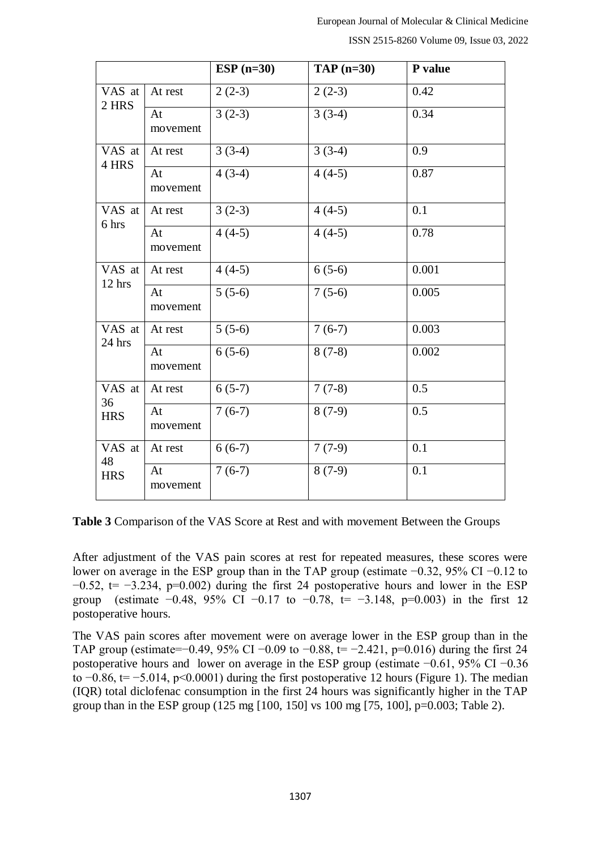ISSN 2515-8260 Volume 09, Issue 03, 2022

|                              |                | $ESP(n=30)$         | $TAP$ (n=30)        | P value |
|------------------------------|----------------|---------------------|---------------------|---------|
| $\overline{V}AS$ at<br>2 HRS | At rest        | $2(2-3)$            | $2(2-3)$            | 0.42    |
|                              | At<br>movement | $3(2-3)$            | $3(3-4)$            | 0.34    |
| VAS at<br>4 HRS              | At rest        | $3(3-4)$            | $3(3-4)$            | 0.9     |
|                              | At<br>movement | $4(3-4)$            | $4(4-5)$            | 0.87    |
| VAS at<br>6 hrs              | At rest        | $3(2-3)$            | $4(4-5)$            | 0.1     |
|                              | At<br>movement | $4(4-5)$            | $\overline{4(4-5)}$ | 0.78    |
| VAS at<br>12 hrs             | At rest        | $4(4-5)$            | $6(5-6)$            | 0.001   |
|                              | At<br>movement | $5(5-6)$            | $7(5-6)$            | 0.005   |
| VAS at<br>$24$ hrs           | At rest        | $\overline{5(5-6)}$ | $7(6-7)$            | 0.003   |
|                              | At<br>movement | $6(5-6)$            | $8(7-8)$            | 0.002   |
| VAS at<br>36<br><b>HRS</b>   | At rest        | $6(5-7)$            | $7(7-8)$            | 0.5     |
|                              | At<br>movement | $7(6-7)$            | $8(7-9)$            | 0.5     |
| VAS at<br>48<br><b>HRS</b>   | At rest        | $6(6-7)$            | $7(7-9)$            | 0.1     |
|                              | At<br>movement | $7(6-7)$            | $8(7-9)$            | 0.1     |

**Table 3** Comparison of the VAS Score at Rest and with movement Between the Groups

After adjustment of the VAS pain scores at rest for repeated measures, these scores were lower on average in the ESP group than in the TAP group (estimate −0.32, 95% CI −0.12 to  $-0.52$ , t=  $-3.234$ , p=0.002) during the first 24 postoperative hours and lower in the ESP group (estimate  $-0.48$ , 95% CI  $-0.17$  to  $-0.78$ , t=  $-3.148$ , p=0.003) in the first 12 postoperative hours.

The VAS pain scores after movement were on average lower in the ESP group than in the TAP group (estimate=−0.49, 95% CI −0.09 to −0.88, t= −2.421, p=0.016) during the first 24 postoperative hours and lower on average in the ESP group (estimate −0.61, 95% CI −0.36 to  $-0.86$ , t=  $-5.014$ , p<0.0001) during the first postoperative 12 hours (Figure 1). The median (IQR) total diclofenac consumption in the first 24 hours was significantly higher in the TAP group than in the ESP group (125 mg [100, 150] vs 100 mg [75, 100], p=0.003; Table 2).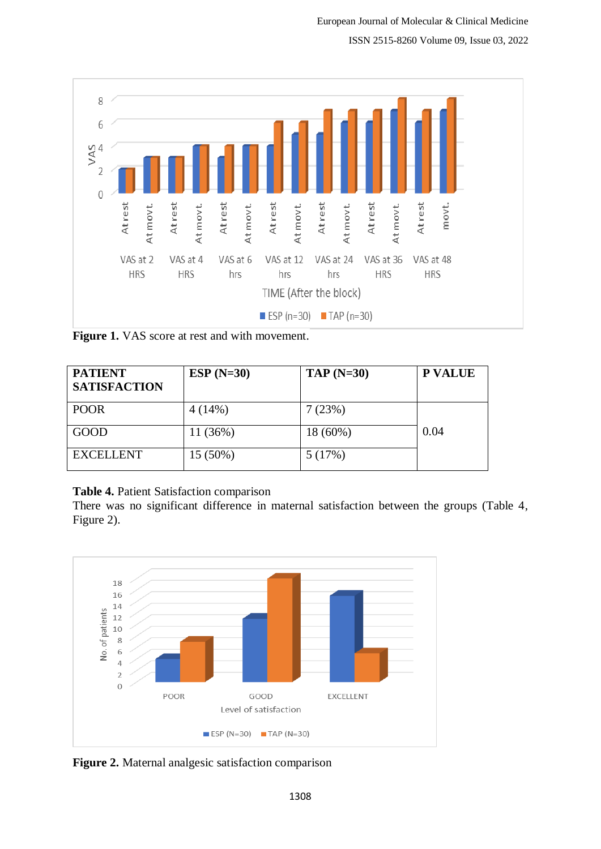ISSN 2515-8260 Volume 09, Issue 03, 2022



**Figure 1.** VAS score at rest and with movement.

| <b>PATIENT</b><br><b>SATISFACTION</b> | $ESP(N=30)$ | $TAP(N=30)$ | <b>P VALUE</b> |
|---------------------------------------|-------------|-------------|----------------|
| <b>POOR</b>                           | 4(14%)      | 7 (23%)     |                |
| GOOD                                  | 11(36%)     | $18(60\%)$  | 0.04           |
| <b>EXCELLENT</b>                      | $15(50\%)$  | 5(17%)      |                |

## **Table 4.** Patient Satisfaction comparison

There was no significant difference in maternal satisfaction between the groups (Table 4, Figure 2).



**Figure 2.** Maternal analgesic satisfaction comparison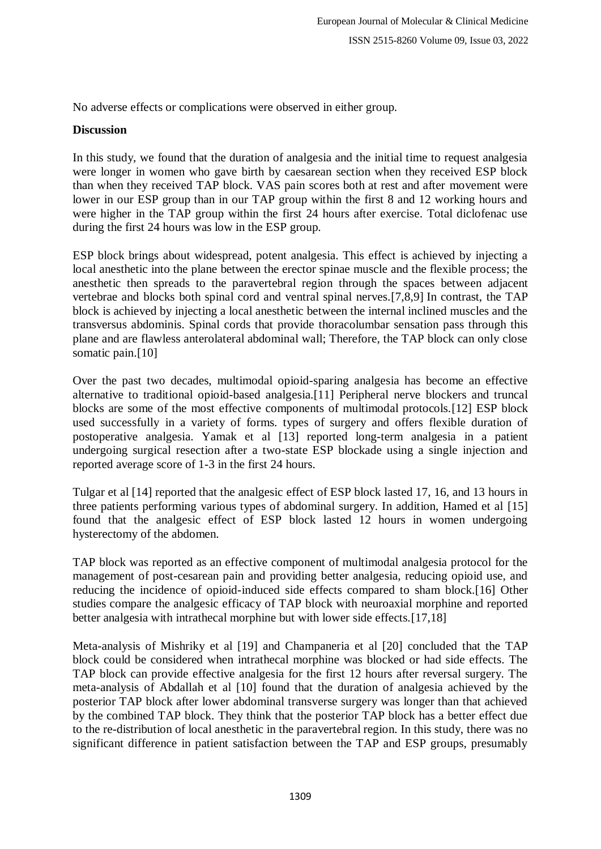No adverse effects or complications were observed in either group.

#### **Discussion**

In this study, we found that the duration of analgesia and the initial time to request analgesia were longer in women who gave birth by caesarean section when they received ESP block than when they received TAP block. VAS pain scores both at rest and after movement were lower in our ESP group than in our TAP group within the first 8 and 12 working hours and were higher in the TAP group within the first 24 hours after exercise. Total diclofenac use during the first 24 hours was low in the ESP group.

ESP block brings about widespread, potent analgesia. This effect is achieved by injecting a local anesthetic into the plane between the erector spinae muscle and the flexible process; the anesthetic then spreads to the paravertebral region through the spaces between adjacent vertebrae and blocks both spinal cord and ventral spinal nerves.[7,8,9] In contrast, the TAP block is achieved by injecting a local anesthetic between the internal inclined muscles and the transversus abdominis. Spinal cords that provide thoracolumbar sensation pass through this plane and are flawless anterolateral abdominal wall; Therefore, the TAP block can only close somatic pain.<sup>[10]</sup>

Over the past two decades, multimodal opioid-sparing analgesia has become an effective alternative to traditional opioid-based analgesia.[11] Peripheral nerve blockers and truncal blocks are some of the most effective components of multimodal protocols.[12] ESP block used successfully in a variety of forms. types of surgery and offers flexible duration of postoperative analgesia. Yamak et al [13] reported long-term analgesia in a patient undergoing surgical resection after a two-state ESP blockade using a single injection and reported average score of 1-3 in the first 24 hours.

Tulgar et al [14] reported that the analgesic effect of ESP block lasted 17, 16, and 13 hours in three patients performing various types of abdominal surgery. In addition, Hamed et al [15] found that the analgesic effect of ESP block lasted 12 hours in women undergoing hysterectomy of the abdomen.

TAP block was reported as an effective component of multimodal analgesia protocol for the management of post-cesarean pain and providing better analgesia, reducing opioid use, and reducing the incidence of opioid-induced side effects compared to sham block.[16] Other studies compare the analgesic efficacy of TAP block with neuroaxial morphine and reported better analgesia with intrathecal morphine but with lower side effects.[17,18]

Meta-analysis of Mishriky et al [19] and Champaneria et al [20] concluded that the TAP block could be considered when intrathecal morphine was blocked or had side effects. The TAP block can provide effective analgesia for the first 12 hours after reversal surgery. The meta-analysis of Abdallah et al [10] found that the duration of analgesia achieved by the posterior TAP block after lower abdominal transverse surgery was longer than that achieved by the combined TAP block. They think that the posterior TAP block has a better effect due to the re-distribution of local anesthetic in the paravertebral region. In this study, there was no significant difference in patient satisfaction between the TAP and ESP groups, presumably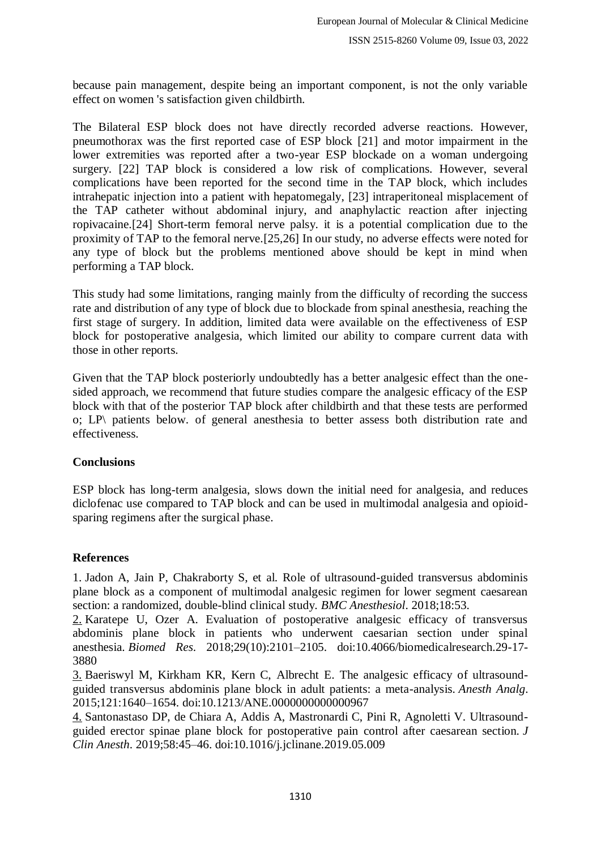because pain management, despite being an important component, is not the only variable effect on women 's satisfaction given childbirth.

The Bilateral ESP block does not have directly recorded adverse reactions. However, pneumothorax was the first reported case of ESP block [21] and motor impairment in the lower extremities was reported after a two-year ESP blockade on a woman undergoing surgery. [22] TAP block is considered a low risk of complications. However, several complications have been reported for the second time in the TAP block, which includes intrahepatic injection into a patient with hepatomegaly, [23] intraperitoneal misplacement of the TAP catheter without abdominal injury, and anaphylactic reaction after injecting ropivacaine.[24] Short-term femoral nerve palsy. it is a potential complication due to the proximity of TAP to the femoral nerve.[25,26] In our study, no adverse effects were noted for any type of block but the problems mentioned above should be kept in mind when performing a TAP block.

This study had some limitations, ranging mainly from the difficulty of recording the success rate and distribution of any type of block due to blockade from spinal anesthesia, reaching the first stage of surgery. In addition, limited data were available on the effectiveness of ESP block for postoperative analgesia, which limited our ability to compare current data with those in other reports.

Given that the TAP block posteriorly undoubtedly has a better analgesic effect than the onesided approach, we recommend that future studies compare the analgesic efficacy of the ESP block with that of the posterior TAP block after childbirth and that these tests are performed o; LP\ patients below. of general anesthesia to better assess both distribution rate and effectiveness.

## **Conclusions**

ESP block has long-term analgesia, slows down the initial need for analgesia, and reduces diclofenac use compared to TAP block and can be used in multimodal analgesia and opioidsparing regimens after the surgical phase.

## **References**

1. Jadon A, Jain P, Chakraborty S, et al. Role of ultrasound-guided transversus abdominis plane block as a component of multimodal analgesic regimen for lower segment caesarean section: a randomized, double-blind clinical study. *BMC Anesthesiol*. 2018;18:53.

[2.](https://www.dovepress.com/comparison-of-analgesic-effect-between-erector-spinae-plane-block-and--peer-reviewed-fulltext-article-JPR#ref-CIT0002) Karatepe U, Ozer A. Evaluation of postoperative analgesic efficacy of transversus abdominis plane block in patients who underwent caesarian section under spinal anesthesia. *Biomed Res*. 2018;29(10):2101–2105. doi:10.4066/biomedicalresearch.29-17- 3880

[3.](https://www.dovepress.com/comparison-of-analgesic-effect-between-erector-spinae-plane-block-and--peer-reviewed-fulltext-article-JPR#ref-CIT0003) Baeriswyl M, Kirkham KR, Kern C, Albrecht E. The analgesic efficacy of ultrasoundguided transversus abdominis plane block in adult patients: a meta-analysis. *Anesth Analg*. 2015;121:1640–1654. doi:10.1213/ANE.0000000000000967

[4.](https://www.dovepress.com/comparison-of-analgesic-effect-between-erector-spinae-plane-block-and--peer-reviewed-fulltext-article-JPR#ref-CIT0004) Santonastaso DP, de Chiara A, Addis A, Mastronardi C, Pini R, Agnoletti V. Ultrasoundguided erector spinae plane block for postoperative pain control after caesarean section. *J Clin Anesth*. 2019;58:45–46. doi:10.1016/j.jclinane.2019.05.009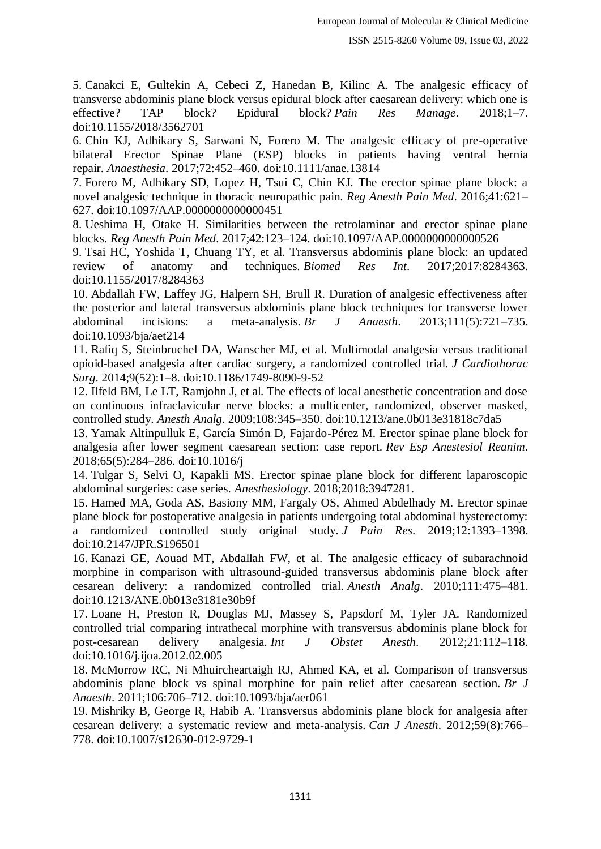5. Canakci E, Gultekin A, Cebeci Z, Hanedan B, Kilinc A. The analgesic efficacy of transverse abdominis plane block versus epidural block after caesarean delivery: which one is effective? TAP block? Epidural block? *Pain Res Manage*. 2018;1–7. doi:10.1155/2018/3562701

6. Chin KJ, Adhikary S, Sarwani N, Forero M. The analgesic efficacy of pre-operative bilateral Erector Spinae Plane (ESP) blocks in patients having ventral hernia repair. *Anaesthesia*. 2017;72:452–460. doi:10.1111/anae.13814

[7.](https://www.dovepress.com/comparison-of-analgesic-effect-between-erector-spinae-plane-block-and--peer-reviewed-fulltext-article-JPR#ref-CIT0007) Forero M, Adhikary SD, Lopez H, Tsui C, Chin KJ. The erector spinae plane block: a novel analgesic technique in thoracic neuropathic pain. *Reg Anesth Pain Med*. 2016;41:621– 627. doi:10.1097/AAP.0000000000000451

8. Ueshima H, Otake H. Similarities between the retrolaminar and erector spinae plane blocks. *Reg Anesth Pain Med*. 2017;42:123–124. doi:10.1097/AAP.0000000000000526

9. Tsai HC, Yoshida T, Chuang TY, et al. Transversus abdominis plane block: an updated review of anatomy and techniques. *Biomed Res Int*. 2017;2017:8284363. doi:10.1155/2017/8284363

10. Abdallah FW, Laffey JG, Halpern SH, Brull R. Duration of analgesic effectiveness after the posterior and lateral transversus abdominis plane block techniques for transverse lower abdominal incisions: a meta-analysis. *Br J Anaesth*. 2013;111(5):721–735. doi:10.1093/bja/aet214

11. Rafiq S, Steinbruchel DA, Wanscher MJ, et al. Multimodal analgesia versus traditional opioid-based analgesia after cardiac surgery, a randomized controlled trial. *J Cardiothorac Surg*. 2014;9(52):1–8. doi:10.1186/1749-8090-9-52

12. Ilfeld BM, Le LT, Ramjohn J, et al. The effects of local anesthetic concentration and dose on continuous infraclavicular nerve blocks: a multicenter, randomized, observer masked, controlled study. *Anesth Analg*. 2009;108:345–350. doi:10.1213/ane.0b013e31818c7da5

13. Yamak Altinpulluk E, García Simón D, Fajardo-Pérez M. Erector spinae plane block for analgesia after lower segment caesarean section: case report. *Rev Esp Anestesiol Reanim*. 2018;65(5):284–286. doi:10.1016/j

14. Tulgar S, Selvi O, Kapakli MS. Erector spinae plane block for different laparoscopic abdominal surgeries: case series. *Anesthesiology*. 2018;2018:3947281.

15. Hamed MA, Goda AS, Basiony MM, Fargaly OS, Ahmed Abdelhady M. Erector spinae plane block for postoperative analgesia in patients undergoing total abdominal hysterectomy: a randomized controlled study original study. *J Pain Res*. 2019;12:1393–1398. doi:10.2147/JPR.S196501

16. Kanazi GE, Aouad MT, Abdallah FW, et al. The analgesic efficacy of subarachnoid morphine in comparison with ultrasound-guided transversus abdominis plane block after cesarean delivery: a randomized controlled trial. *Anesth Analg*. 2010;111:475–481. doi:10.1213/ANE.0b013e3181e30b9f

17. Loane H, Preston R, Douglas MJ, Massey S, Papsdorf M, Tyler JA. Randomized controlled trial comparing intrathecal morphine with transversus abdominis plane block for post-cesarean delivery analgesia. *Int J Obstet Anesth*. 2012;21:112–118. doi:10.1016/j.ijoa.2012.02.005

18. McMorrow RC, Ni Mhuircheartaigh RJ, Ahmed KA, et al. Comparison of transversus abdominis plane block vs spinal morphine for pain relief after caesarean section. *Br J Anaesth*. 2011;106:706–712. doi:10.1093/bja/aer061

19. Mishriky B, George R, Habib A. Transversus abdominis plane block for analgesia after cesarean delivery: a systematic review and meta-analysis. *Can J Anesth*. 2012;59(8):766– 778. doi:10.1007/s12630-012-9729-1